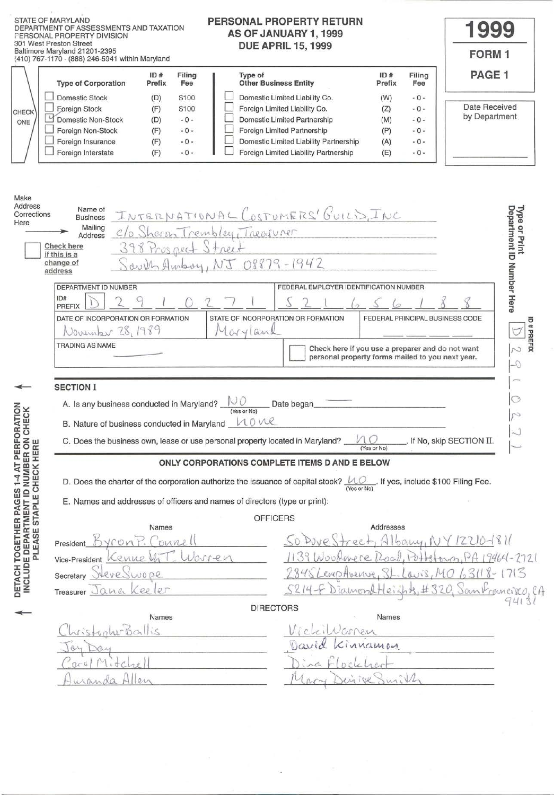|                                                                                                   | <b>STATE OF MARYLAND</b><br>PERSONAL PROPERTY RETURN<br>DEPARTMENT OF ASSESSMENTS AND TAXATION<br>AS OF JANUARY 1, 1999<br>PERSONAL PROPERTY DIVISION<br>301 West Preston Street<br><b>DUE APRIL 15, 1999</b><br>Baltimore Maryland 21201-2395<br>(410) 767-1170 - (888) 246-5941 within Maryland                                                                                                                                                                                                                                                                                                                                                                                              | <b>1999</b><br><b>FORM1</b>                |
|---------------------------------------------------------------------------------------------------|------------------------------------------------------------------------------------------------------------------------------------------------------------------------------------------------------------------------------------------------------------------------------------------------------------------------------------------------------------------------------------------------------------------------------------------------------------------------------------------------------------------------------------------------------------------------------------------------------------------------------------------------------------------------------------------------|--------------------------------------------|
| CHECK<br>ONE                                                                                      | ID#<br>ID#<br>Filing<br>Type of<br>Filing<br><b>Other Business Entity</b><br><b>Type of Corporation</b><br>Prefix<br>Fee<br>Prefix<br>Fee<br><b>Domestic Stock</b><br>Domestic Limited Liability Co.<br>\$100<br>$-0-$<br>(D)<br>(W)<br>Foreign Limited Liability Co.<br>\$100<br>$-0-$<br>Foreign Stock<br>(F)<br>(Z)<br>Domestic Limited Partnership<br>Domestic Non-Stock<br>$-0-$<br>$-0-$<br>(D)<br>(M)<br>Foreign Limited Partnership<br>Foreign Non-Stock<br>$-0-$<br>(P)<br>$-0-$<br>(F)<br>Domestic Limited Liability Partnership<br>Foreign Insurance<br>$-0-$<br>(A)<br>$-0-$<br>(F)<br>Foreign Limited Liability Partnership<br>Foreign Interstate<br>$-0-$<br>(F)<br>(E)<br>$-0-$ | PAGE 1<br>Date Received<br>by Department   |
| Make<br>Address<br>Corrections<br>Here                                                            | Name of<br>INTERNATIONAL COSTUMERS' GUILIS, INC<br><b>Business</b><br>Mailing<br>C/o Sharon Trembley, Treasurer<br>Address<br>398 Prospect Street<br>Check here<br>if this is a<br>$S$ aver Ambry, NJ 08879-1942<br>change of<br>address                                                                                                                                                                                                                                                                                                                                                                                                                                                       | Department ID Number Here<br>Type or Print |
|                                                                                                   | FEDERAL EMPLOYER IDENTIFICATION NUMBER<br>DEPARTMENT ID NUMBER<br>ID#<br>PREFIX<br>STATE OF INCORPORATION OR FORMATION<br>DATE OF INCORPORATION OR FORMATION<br>FEDERAL PRINCIPAL BUSINESS CODE<br>November 28, 1989<br>Maryland<br>TRADING AS NAME<br>Check here if you use a preparer and do not want<br>personal property forms mailed to you next year.                                                                                                                                                                                                                                                                                                                                    | ID#PREFIX<br>N                             |
| AT PERFORATION<br>CHECK                                                                           | <b>SECTION I</b><br>A. Is any business conducted in Maryland? $\bigcirc$<br>Date began<br>(Yes or No)<br>nove<br>B. Nature of business conducted in Maryland<br>C. Does the business own, lease or use personal property located in Maryland?<br>If No, skip SECTION II.<br>(Yes or No)<br>ONLY CORPORATIONS COMPLETE ITEMS D AND E BELOW                                                                                                                                                                                                                                                                                                                                                      |                                            |
| INCLUDE DEPARTMENT ID NUMBER ON<br>E CHECK HERE<br>$1-4$<br>DETACH TOGETHER PAGES<br>PLEASE STAPL | D. Does the charter of the corporation authorize the issuance of capital stock? $\underbrace{\mathcal{L}\mathcal{Q}}_{\text{(Yes or No)}}$ . If yes, include \$100 Filing Fee.<br>E. Names and addresses of officers and names of directors (type or print):<br><b>OFFICERS</b><br>Addresses<br>Names<br>$b$ a $wy_1$<br>Vront<br>onne<br>President<br>enne<br>Vice-President                                                                                                                                                                                                                                                                                                                  | $64 - 2721$                                |
|                                                                                                   | 531<br>vere<br>WOPR<br>Secretary<br>Kee<br>er<br>ana<br>Treasurer $\cup$<br><b>DIRECTORS</b><br>Names<br>Names                                                                                                                                                                                                                                                                                                                                                                                                                                                                                                                                                                                 | 715<br>Sankrenneisco, CA<br>3(<br>41       |
|                                                                                                   |                                                                                                                                                                                                                                                                                                                                                                                                                                                                                                                                                                                                                                                                                                |                                            |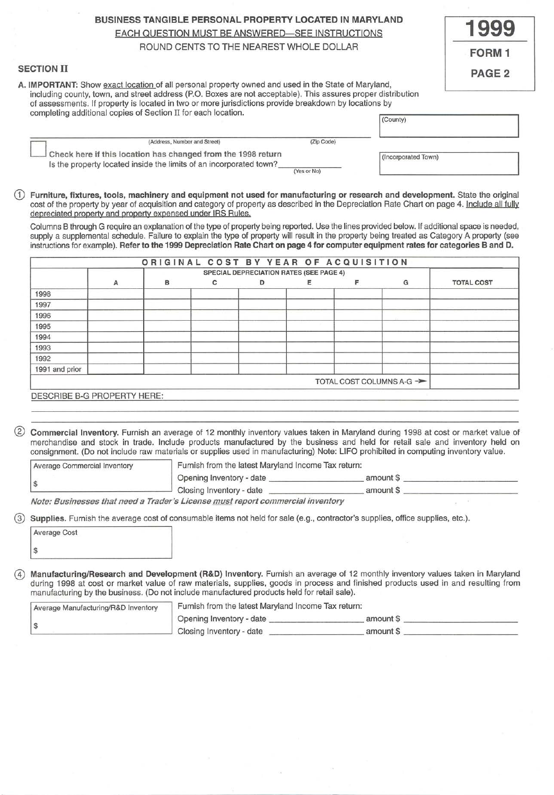# BUSINESS TANGIBLE PERSONAL PROPERTY LOCATED IN MARYLAND

EACH QUESTION MUST BE ANSWERED-SEE INSTRUCTIONS

ROUND CENTS TO THE NEAREST WHOLE DOLLAR

# SECTION II

A. IMPORTANT: Show exact location of all personal property owned and used in the State of Maryland, including county, town, and street address (P.O. Boxes are not acceptable). This assures proper distribution of assessments. If property is located in two or more jurisdictions provide breakdown by locations by

| completing additional copies of Section II for each location.                                                                      |             | (County)            |  |
|------------------------------------------------------------------------------------------------------------------------------------|-------------|---------------------|--|
| (Address, Number and Street)                                                                                                       | (Zip Code)  |                     |  |
| Check here if this location has changed from the 1998 return<br>Is the property located inside the limits of an incorporated town? | (Yes or No) | (Incorporated Town) |  |

G) Furniture, fixtures, tools, machinery and equipment not used for manufacturing or research and development. State the original cost of the property by year of acquisition and category of property as described in the Depreciation Rate Chart on page 4. Include all fully depreciated property and property expensed under IRS Rules.

Columns B through G require an explanation of the type of property being reported. Use the lines provided below. If additional space is needed, supply a supplemental schedule. Failure to explain the type of property will result in the property being treated as Category A property (see instructions for example). Refer to the 1999 Depreciation Rate Chart on page 4 for computer equipment rates for categories 8 and D.

|                |   |   |   | <b>SPECIAL DEPRECIATION RATES (SEE PAGE 4)</b> |   |   |                                      |                   |
|----------------|---|---|---|------------------------------------------------|---|---|--------------------------------------|-------------------|
|                | А | в | с | D                                              | Ε | F | G                                    | <b>TOTAL COST</b> |
| 1998           |   |   |   |                                                |   |   |                                      |                   |
| 1997           |   |   |   |                                                |   |   |                                      |                   |
| 1996           |   |   |   |                                                |   |   |                                      |                   |
| 1995           |   |   |   |                                                |   |   |                                      |                   |
| 1994           |   |   |   |                                                |   |   |                                      |                   |
| 1993           |   |   |   |                                                |   |   |                                      |                   |
| 1992           |   |   |   |                                                |   |   |                                      |                   |
| 1991 and prior |   |   |   |                                                |   |   |                                      |                   |
|                |   |   |   |                                                |   |   | TOTAL COST COLUMNS A-G $\rightarrow$ |                   |

DESCRIBE B-G PROPERTY HERE:

® Commercial Inventory. Furnish an average of 12 monthly inventory values taken in Maryland during 1998 at cost or market value of merchandise and stock in trade. Include products manufactured by the business and held for retail sale and inventory held on consignment. (Do not include raw materials or supplies used in manufacturing) Note: LIFO prohibited in computing inventory value.

| Average Commercial Inventory | Furnish from the latest Maryland Income Tax return: |           |  |
|------------------------------|-----------------------------------------------------|-----------|--|
|                              | Opening Inventory - date                            | amount \$ |  |
|                              | Closing Inventory - date                            | amount \$ |  |

Note: Businesses that need a Trader's License must report commercial inventory

@ Supplies. Furnish the average cost of consumable items not held for sale (e.g., contractor's supplies, office supplies, etc.).

| Average Cost |  |
|--------------|--|
| \$           |  |

@) Manufacturing/Research and Development (R&D) Inventory. Furnish an average of 12 monthly inventory values taken in Maryland during 1998 at cost or market value of raw materials, supplies, goods in process and finished products used in and resulting from manufacturing by the business. (Do not include manufactured products held for retail sale).

| Average Manufacturing/R&D Inventory | Furnish from the latest Maryland Income Tax return: |           |
|-------------------------------------|-----------------------------------------------------|-----------|
|                                     | Opening Inventory - date                            | amount \$ |
|                                     | Closing Inventory - date                            | amount \$ |

| <b>FORM</b>   |
|---------------|
| <b>PAGE 2</b> |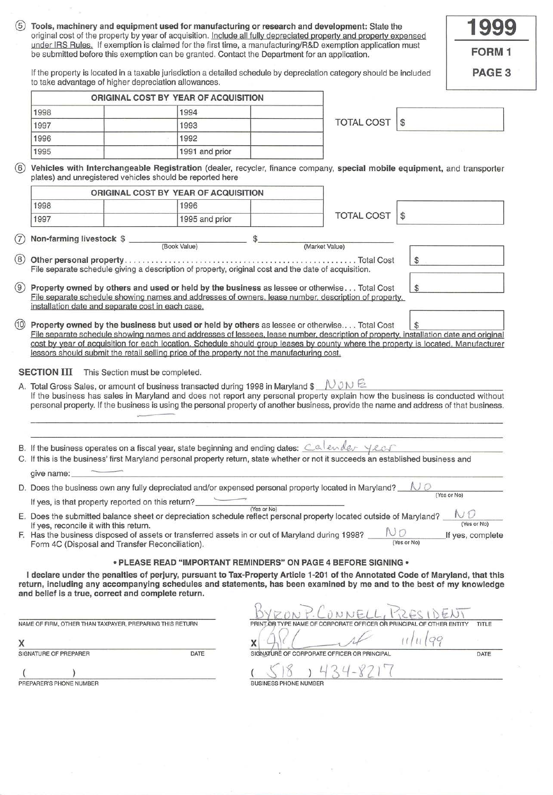| 1998<br>1997<br>1996<br>1995 | original cost of the property by year of acquisition. Include all fully depreciated property and property expensed<br>under IRS Rules. If exemption is claimed for the first time, a manufacturing/R&D exemption application must<br>be submitted before this exemption can be granted. Contact the Department for an application.<br>If the property is located in a taxable jurisdiction a detailed schedule by depreciation category should be included<br>to take advantage of higher depreciation allowances.                                                                                                                                                                                                                                                                           |                                      |             |                   |       |                   |
|------------------------------|----------------------------------------------------------------------------------------------------------------------------------------------------------------------------------------------------------------------------------------------------------------------------------------------------------------------------------------------------------------------------------------------------------------------------------------------------------------------------------------------------------------------------------------------------------------------------------------------------------------------------------------------------------------------------------------------------------------------------------------------------------------------------------------------|--------------------------------------|-------------|-------------------|-------|-------------------|
|                              |                                                                                                                                                                                                                                                                                                                                                                                                                                                                                                                                                                                                                                                                                                                                                                                              |                                      |             |                   |       | <b>FORM 1</b>     |
|                              |                                                                                                                                                                                                                                                                                                                                                                                                                                                                                                                                                                                                                                                                                                                                                                                              |                                      |             |                   |       | PAGE <sub>3</sub> |
|                              |                                                                                                                                                                                                                                                                                                                                                                                                                                                                                                                                                                                                                                                                                                                                                                                              | ORIGINAL COST BY YEAR OF ACQUISITION |             |                   |       |                   |
|                              |                                                                                                                                                                                                                                                                                                                                                                                                                                                                                                                                                                                                                                                                                                                                                                                              | 1994                                 |             |                   |       |                   |
|                              |                                                                                                                                                                                                                                                                                                                                                                                                                                                                                                                                                                                                                                                                                                                                                                                              | 1993                                 |             | <b>TOTAL COST</b> | $\$\$ |                   |
|                              |                                                                                                                                                                                                                                                                                                                                                                                                                                                                                                                                                                                                                                                                                                                                                                                              | 1992                                 |             |                   |       |                   |
|                              |                                                                                                                                                                                                                                                                                                                                                                                                                                                                                                                                                                                                                                                                                                                                                                                              | 1991 and prior                       |             |                   |       |                   |
| (6)                          | Vehicles with Interchangeable Registration (dealer, recycler, finance company, special mobile equipment, and transporter<br>plates) and unregistered vehicles should be reported here                                                                                                                                                                                                                                                                                                                                                                                                                                                                                                                                                                                                        |                                      |             |                   |       |                   |
|                              |                                                                                                                                                                                                                                                                                                                                                                                                                                                                                                                                                                                                                                                                                                                                                                                              | ORIGINAL COST BY YEAR OF ACQUISITION |             |                   |       |                   |
| 1998                         |                                                                                                                                                                                                                                                                                                                                                                                                                                                                                                                                                                                                                                                                                                                                                                                              | 1996                                 |             |                   |       |                   |
| 1997                         |                                                                                                                                                                                                                                                                                                                                                                                                                                                                                                                                                                                                                                                                                                                                                                                              | 1995 and prior                       |             | <b>TOTAL COST</b> | S     |                   |
|                              |                                                                                                                                                                                                                                                                                                                                                                                                                                                                                                                                                                                                                                                                                                                                                                                              |                                      |             |                   |       |                   |
| (7)                          | Non-farming livestock \$_                                                                                                                                                                                                                                                                                                                                                                                                                                                                                                                                                                                                                                                                                                                                                                    | (Book Value)                         | \$          | (Market Value)    |       |                   |
| (8)                          | File separate schedule giving a description of property, original cost and the date of acquisition.                                                                                                                                                                                                                                                                                                                                                                                                                                                                                                                                                                                                                                                                                          |                                      |             |                   | $\$\$ |                   |
|                              |                                                                                                                                                                                                                                                                                                                                                                                                                                                                                                                                                                                                                                                                                                                                                                                              |                                      |             |                   |       |                   |
| (9)                          | Property owned by others and used or held by the business as lessee or otherwise Total Cost<br>File separate schedule showing names and addresses of owners, lease number, description of property,<br>installation date and separate cost in each case.                                                                                                                                                                                                                                                                                                                                                                                                                                                                                                                                     |                                      |             |                   | \$    |                   |
| <b>SECTION III</b>           | File separate schedule showing names and addresses of lessees, lease number, description of property, installation date and original<br>cost by year of acquisition for each location. Schedule should group leases by county where the property is located. Manufacturer<br>lessors should submit the retail selling price of the property not the manufacturing cost.<br>This Section must be completed.<br>A. Total Gross Sales, or amount of business transacted during 1998 in Maryland \$ $N \in \mathbb{R}$<br>If the business has sales in Maryland and does not report any personal property explain how the business is conducted without<br>personal property. If the business is using the personal property of another business, provide the name and address of that business. |                                      |             |                   |       |                   |
|                              | B. If the business operates on a fiscal year, state beginning and ending dates: $\frac{Ca\ell endev}{\ell e}$<br>C. If this is the business' first Maryland personal property return, state whether or not it succeeds an established business and                                                                                                                                                                                                                                                                                                                                                                                                                                                                                                                                           |                                      |             |                   |       |                   |
|                              | give name:                                                                                                                                                                                                                                                                                                                                                                                                                                                                                                                                                                                                                                                                                                                                                                                   |                                      |             |                   |       |                   |
|                              | D. Does the business own any fully depreciated and/or expensed personal property located in Maryland?                                                                                                                                                                                                                                                                                                                                                                                                                                                                                                                                                                                                                                                                                        |                                      |             |                   |       | (Yes or No)       |
|                              | If yes, is that property reported on this return?____                                                                                                                                                                                                                                                                                                                                                                                                                                                                                                                                                                                                                                                                                                                                        |                                      | (Yes or No) |                   |       |                   |
|                              | E. Does the submitted balance sheet or depreciation schedule reflect personal property located outside of Maryland?<br>If yes, reconcile it with this return.                                                                                                                                                                                                                                                                                                                                                                                                                                                                                                                                                                                                                                |                                      |             |                   |       |                   |

 $\frac{1}{2} \frac{d}{dt}$ 

 $\epsilon_{\rm esc}$